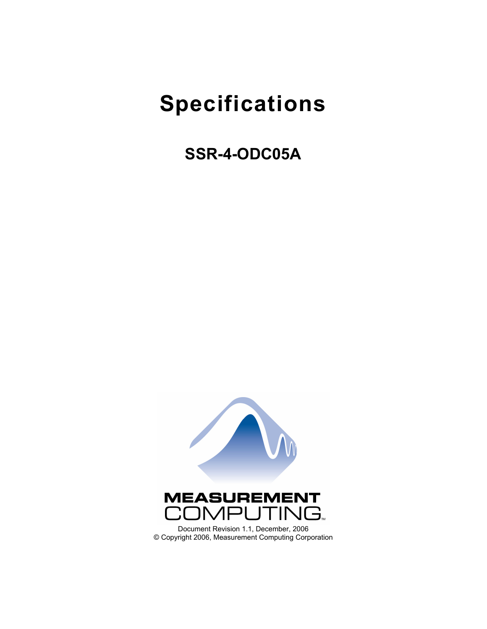# **Specifications**

## **SSR-4-ODC05A**

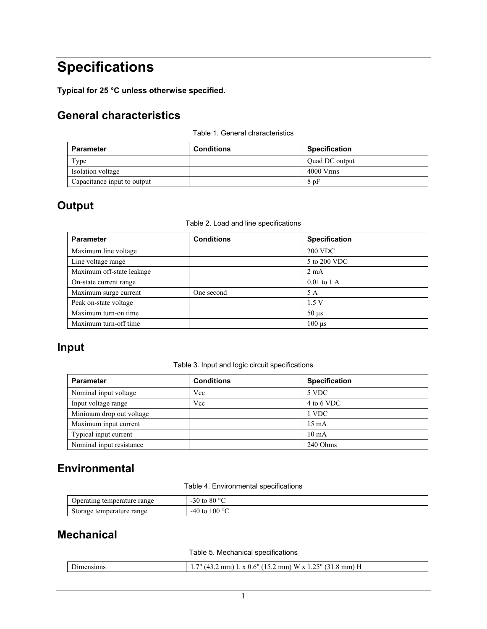## **Specifications**

**Typical for 25 °C unless otherwise specified.** 

#### **General characteristics**

|  |  | Table 1. General characteristics |
|--|--|----------------------------------|
|--|--|----------------------------------|

| <b>Parameter</b>            | <b>Conditions</b> | <b>Specification</b> |
|-----------------------------|-------------------|----------------------|
| Type                        |                   | Ouad DC output       |
| Isolation voltage           |                   | $4000$ Vrms          |
| Capacitance input to output |                   | 8pF                  |

#### **Output**

|  |  |  |  | Table 2. Load and line specifications |
|--|--|--|--|---------------------------------------|
|--|--|--|--|---------------------------------------|

| <b>Parameter</b>          | <b>Conditions</b> | <b>Specification</b>      |
|---------------------------|-------------------|---------------------------|
| Maximum line voltage      |                   | <b>200 VDC</b>            |
| Line voltage range        |                   | 5 to 200 VDC              |
| Maximum off-state leakage |                   | $2 \text{ mA}$            |
| On-state current range    |                   | $0.01$ to $1$ A           |
| Maximum surge current     | One second        | 5 A                       |
| Peak on-state voltage     |                   | 1.5V                      |
| Maximum turn-on time      |                   | $50 \mu s$                |
| Maximum turn-off time     |                   | $100 \text{ }\mu\text{s}$ |

#### **Input**

Table 3. Input and logic circuit specifications

| <b>Parameter</b>         | <b>Conditions</b> | <b>Specification</b> |
|--------------------------|-------------------|----------------------|
| Nominal input voltage    | Vcc               | 5 VDC                |
| Input voltage range      | Vcc               | 4 to 6 VDC           |
| Minimum drop out voltage |                   | 1 VDC                |
| Maximum input current    |                   | $15 \text{ mA}$      |
| Typical input current    |                   | $10 \text{ mA}$      |
| Nominal input resistance |                   | 240 Ohms             |

#### **Environmental**

Table 4. Environmental specifications

| Operating temperature range | -30 to 80 $\degree$ C  |
|-----------------------------|------------------------|
| Storage temperature range   | -40 to 100 $\degree$ C |

#### **Mechanical**

Table 5. Mechanical specifications

| - 11<br>1810115 | 711<br>$\ldots$ 2 mm) W x 1 $\sim$<br>. 6"<br>25"<br>$\mathbf{v}$ () (<br>14<br>mmH<br>$\ddot{\phantom{1}}$<br>1 J I .U<br>. . |
|-----------------|--------------------------------------------------------------------------------------------------------------------------------|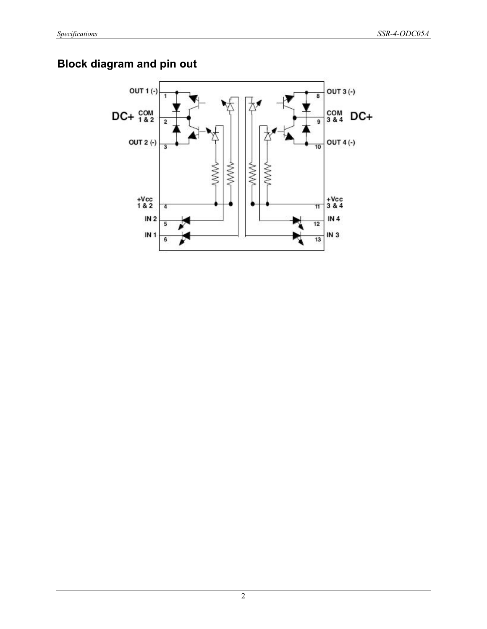### **Block diagram and pin out**